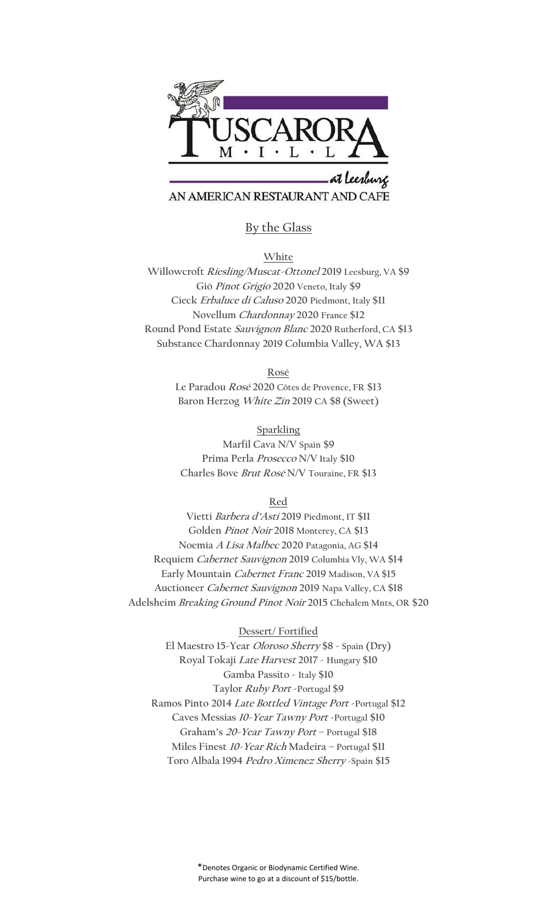

# AN AMERICAN RESTAURANT AND CAFE

# **By the Glass**

**White**

**Willowcroft Riesling/Muscat-Ottonel 2019 Leesburg, VA \$9 Gió Pinot Grigio 2020 Veneto, Italy \$9 Cieck Erbaluce di Caluso 2020 Piedmont, Italy \$11 Novellum Chardonnay 2020 France \$12 Round Pond Estate Sauvignon Blanc 2020 Rutherford, CA \$13 Substance Chardonnay 2019 Columbia Valley, WA \$13**

**Rosé**

**Le Paradou Rosé 2020 Côtes de Provence, FR \$13 Baron Herzog White Zin 2019 CA \$8 (Sweet)**

**Sparkling**

**Marfil Cava N/V Spain \$9 Prima Perla Prosecco N/V Italy \$10 Charles Bove Brut Rosé N/V Touraine, FR \$13**

**Red**

**Vietti Barbera d'Asti 2019 Piedmont, IT \$11 Golden Pinot Noir 2018 Monterey, CA \$13 Noemía A Lisa Malbec 2020 Patagonia, AG \$14 Requiem Cabernet Sauvignon 2019 Columbia Vly, WA \$14 Early Mountain Cabernet Franc 2019 Madison, VA \$15 Auctioneer Cabernet Sauvignon 2019 Napa Valley, CA \$18 Adelsheim Breaking Ground Pinot Noir 2015 Chehalem Mnts, OR \$20**

#### **Dessert/ Fortified**

**El Maestro 15-Year Oloroso Sherry \$8 - Spain (Dry) Royal Tokaji Late Harvest 2017 - Hungary \$10 Gamba Passito - Italy \$10 Taylor Ruby Port -Portugal \$9 Ramos Pinto 2014 Late Bottled Vintage Port -Portugal \$12 Caves Messias 10-Year Tawny Port -Portugal \$10 Graham's 20-Year Tawny Port – Portugal \$18 Miles Finest 10-Year Rich Madeira – Portugal \$11 Toro Albala 1994 Pedro Ximenez Sherry -Spain \$15**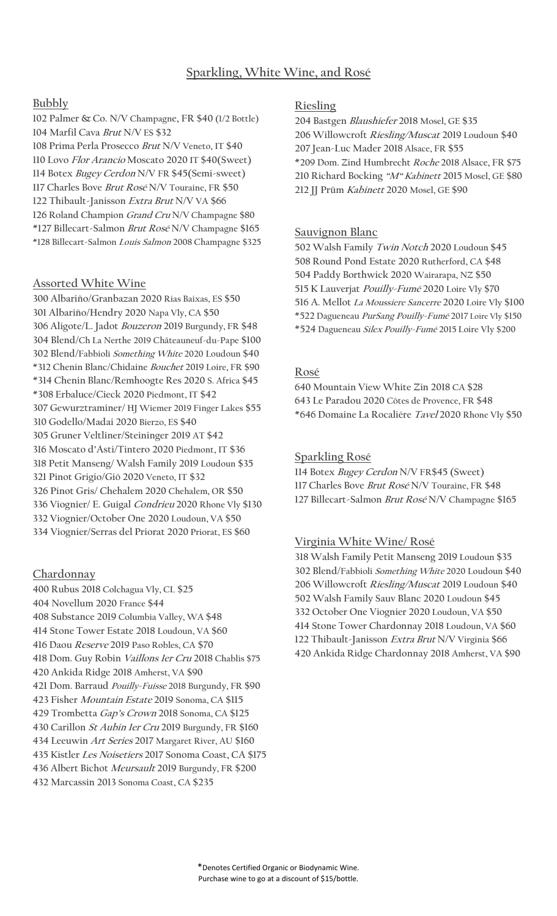# **Sparkling, White Wine, and Rosé**

# **Bubbly**

**102 Palmer & Co. N/V Champagne, FR \$40 (1/2 Bottle) 104 Marfil Cava Brut N/V ES \$32 108 Prima Perla Prosecco Brut N/V Veneto, IT \$40 110 Lovo Flor Arancio Moscato 2020 IT \$40(Sweet) 114 Botex Bugey Cerdon N/V FR \$45(Semi-sweet) 117 Charles Bove Brut Rosé N/V Touraine, FR \$50 122 Thibault-Janisson Extra Brut N/V VA \$66 126 Roland Champion Grand Cru N/V Champagne \$80 \*127 Billecart-Salmon Brut Rosé N/V Champagne \$165 \*128 Billecart-Salmon Louis Salmon 2008 Champagne \$325**

## **Assorted White Wine**

**300 Albariño/Granbazan 2020 Rias Baixas, ES \$50 301 Albariño/Hendry 2020 Napa Vly, CA \$50 306 Aligote/L. Jadot Bouzeron 2019 Burgundy, FR \$48 304 Blend/Ch La Nerthe 2019 Châteauneuf-du-Pape \$100 302 Blend/Fabbioli Something White 2020 Loudoun \$40 \*312 Chenin Blanc/Chidaine Bouchet 2019 Loire, FR \$90 \*314 Chenin Blanc/Remhoogte Res 2020 S. Africa \$45 \*308 Erbaluce/Cieck 2020 Piedmont, IT \$42 307 Gewurztraminer/ HJ Wiemer 2019 Finger Lakes \$55 310 Godello/Madai 2020 Bierzo, ES \$40 305 Gruner Veltliner/Steininger 2019 AT \$42 316 Moscato d'Asti/Tintero 2020 Piedmont, IT \$36 318 Petit Manseng/ Walsh Family 2019 Loudoun \$35 321 Pinot Grigio/Gió 2020 Veneto, IT \$32 326 Pinot Gris/ Chehalem 2020 Chehalem, OR \$50 336 Viognier/ E. Guigal Condrieu 2020 Rhone Vly \$130 332 Viognier/October One 2020 Loudoun, VA \$50 334 Viognier/Serras del Priorat 2020 Priorat, ES \$60**

## **Chardonnay**

**400 Rubus 2018 Colchagua Vly, CL \$25 404 Novellum 2020 France \$44 408 Substance 2019 Columbia Valley, WA \$48 414 Stone Tower Estate 2018 Loudoun, VA \$60 416 Daou Reserve 2019 Paso Robles, CA \$70 418 Dom. Guy Robin Vaillons 1er Cru 2018 Chablis \$75 420 Ankida Ridge 2018 Amherst, VA \$90 421 Dom. Barraud Pouilly-Fuisse 2018 Burgundy, FR \$90 423 Fisher Mountain Estate 2019 Sonoma, CA \$115 429 Trombetta Gap's Crown 2018 Sonoma, CA \$125 430 Carillon St Aubin 1er Cru 2019 Burgundy, FR \$160 434 Leeuwin Art Series 2017 Margaret River, AU \$160 435 Kistler Les Noisetiers 2017 Sonoma Coast, CA \$175 436 Albert Bichot Meursault 2019 Burgundy, FR \$200 432 Marcassin 2013 Sonoma Coast, CA \$235**

# **Riesling**

**204 Bastgen Blaushiefer 2018 Mosel, GE \$35 206 Willowcroft Riesling/Muscat 2019 Loudoun \$40 207 Jean-Luc Mader 2018 Alsace, FR \$55 \*209 Dom. Zind Humbrecht Roche 2018 Alsace, FR \$75 210 Richard Bocking "M" Kabinett 2015 Mosel, GE \$80 212 JJ Prüm Kabinett 2020 Mosel, GE \$90**

# **Sauvignon Blanc**

**502 Walsh Family Twin Notch 2020 Loudoun \$45 508 Round Pond Estate 2020 Rutherford, CA \$48 504 Paddy Borthwick 2020 Wairarapa, NZ \$50 515 K Lauverjat Pouilly-Fumé 2020 Loire Vly \$70 516 A. Mellot La Moussiere Sancerre 2020 Loire Vly \$100 \*522 Dagueneau PurSang Pouilly-Fumé 2017 Loire Vly \$150 \*524 Dagueneau Silex Pouilly-Fumé 2015 Loire Vly \$200**

# **Rosé**

**640 Mountain View White Zin 2018 CA \$28 643 Le Paradou 2020 Côtes de Provence, FR \$48 \*646 Domaine La Rocaliére Tavel 2020 Rhone Vly \$50**

## **Sparkling Rosé**

**114 Botex Bugey Cerdon N/V FR\$45 (Sweet) 117 Charles Bove Brut Rosé N/V Touraine, FR \$48 127 Billecart-Salmon Brut Rosé N/V Champagne \$165**

## **Virginia White Wine/ Rosé**

**318 Walsh Family Petit Manseng 2019 Loudoun \$35 302 Blend/Fabbioli Something White 2020 Loudoun \$40 206 Willowcroft Riesling/Muscat 2019 Loudoun \$40 502 Walsh Family Sauv Blanc 2020 Loudoun \$45 332 October One Viognier 2020 Loudoun, VA \$50 414 Stone Tower Chardonnay 2018 Loudoun, VA \$60 122 Thibault-Janisson Extra Brut N/V Virginia \$66 420 Ankida Ridge Chardonnay 2018 Amherst, VA \$90**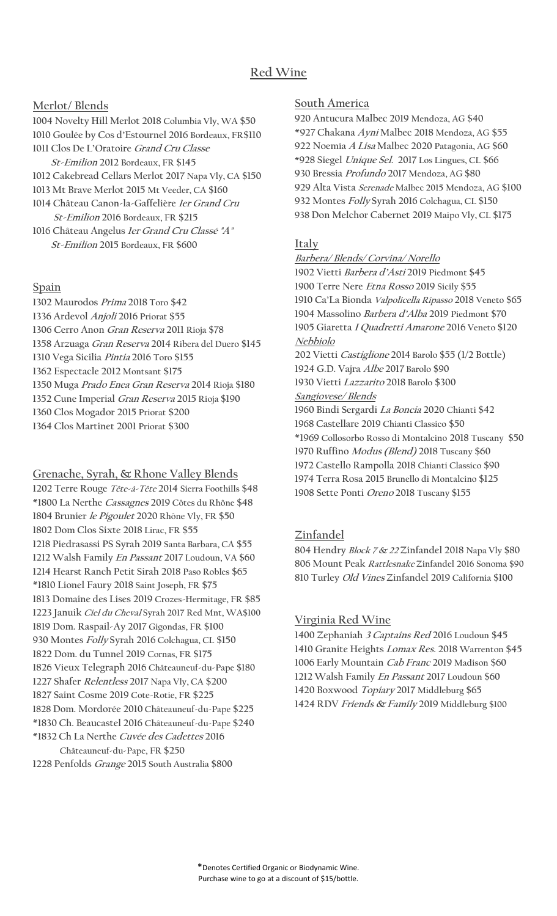# **Red Wine**

# **Merlot/ Blends**

**1004 Novelty Hill Merlot 2018 Columbia Vly, WA \$50 1010 Goulée by Cos d'Estournel 2016 Bordeaux, FR\$110 1011 Clos De L'Oratoire Grand Cru Classe** 

- **St-Emilion 2012 Bordeaux, FR \$145**
- **1012 Cakebread Cellars Merlot 2017 Napa Vly, CA \$150**
- **1013 Mt Brave Merlot 2015 Mt Veeder, CA \$160 1014 Château Canon-la-Gaffelière 1er Grand Cru**

 **St-Emilion 2016 Bordeaux, FR \$215**

**1016 Château Angelus 1er Grand Cru Classé "A" St-Emilion 2015 Bordeaux, FR \$600**

#### **Spain**

**1302 Maurodos Prima 2018 Toro \$42 1336 Ardevol Anjoli 2016 Priorat \$55 1306 Cerro Anon Gran Reserva 2011 Rioja \$78 1358 Arzuaga Gran Reserva 2014 Ribera del Duero \$145 1310 Vega Sicilia Pintia 2016 Toro \$155 1362 Espectacle 2012 Montsant \$175 1350 Muga Prado Enea Gran Reserva 2014 Rioja \$180 1352 Cune Imperial Gran Reserva 2015 Rioja \$190 1360 Clos Mogador 2015 Priorat \$200 1364 Clos Martinet 2001 Priorat \$300**

## **Grenache, Syrah, & Rhone Valley Blends**

**1202 Terre Rouge Tête-à-Tête 2014 Sierra Foothills \$48 \*1800 La Nerthe Cassagnes 2019 Côtes du Rhône \$48 1804 Brunier le Pigoulet 2020 Rhône Vly, FR \$50 1802 Dom Clos Sixte 2018 Lirac, FR \$55 1218 Piedrasassi PS Syrah 2019 Santa Barbara, CA \$55 1212 Walsh Family En Passant 2017 Loudoun, VA \$60 1214 Hearst Ranch Petit Sirah 2018 Paso Robles \$65 \*1810 Lionel Faury 2018 Saint Joseph, FR \$75 1813 Domaine des Lises 2019 Crozes-Hermitage, FR \$85 1223 Januik Ciel du Cheval Syrah 2017 Red Mnt, WA\$100 1819 Dom. Raspail-Ay 2017 Gigondas, FR \$100 930 Montes Folly Syrah 2016 Colchagua, CL \$150 1822 Dom. du Tunnel 2019 Cornas, FR \$175 1826 Vieux Telegraph 2016 Châteauneuf-du-Pape \$180 1227 Shafer Relentless 2017 Napa Vly, CA \$200 1827 Saint Cosme 2019 Cote-Rotie, FR \$225 1828 Dom. Mordorée 2010 Châteauneuf-du-Pape \$225 \*1830 Ch. Beaucastel 2016 Châteauneuf-du-Pape \$240 \*1832 Ch La Nerthe Cuvée des Cadettes 2016 Châteauneuf-du-Pape, FR \$250**

**1228 Penfolds Grange 2015 South Australia \$800**

#### **South America**

**920 Antucura Malbec 2019 Mendoza, AG \$40 \*927 Chakana Ayni Malbec 2018 Mendoza, AG \$55 922 Noemía A Lisa Malbec 2020 Patagonia, AG \$60 \*928 Siegel Unique Sel. 2017 Los Lingues, CL \$66 930 Bressia Profundo 2017 Mendoza, AG \$80 929 Alta Vista Serenade Malbec 2015 Mendoza, AG \$100 932 Montes Folly Syrah 2016 Colchagua, CL \$150 938 Don Melchor Cabernet 2019 Maipo Vly, CL \$175**

## **Italy**

**Barbera/ Blends/ Corvina/ Norello 1902 Vietti Barbera d'Asti 2019 Piedmont \$45 1900 Terre Nere Etna Rosso 2019 Sicily \$55 1910 Ca'La Bionda Valpolicella Ripasso 2018 Veneto \$65 1904 Massolino Barbera d'Alba 2019 Piedmont \$70 1905 Giaretta I Quadretti Amarone 2016 Veneto \$120 Nebbiolo 202 Vietti Castiglione 2014 Barolo \$55 (1/2 Bottle) 1924 G.D. Vajra Albe 2017 Barolo \$90 1930 Vietti Lazzarito 2018 Barolo \$300 Sangiovese/ Blends 1960 Bindi Sergardi La Boncia 2020 Chianti \$42 1968 Castellare 2019 Chianti Classico \$50 \*1969 Collosorbo Rosso di Montalcino 2018 Tuscany \$50 1970 Ruffino Modus (Blend) 2018 Tuscany \$60**

**1972 Castello Rampolla 2018 Chianti Classico \$90 1974 Terra Rosa 2015 Brunello di Montalcino \$125 1908 Sette Ponti Oreno 2018 Tuscany \$155**

## **Zinfandel**

**804 Hendry Block 7 & 22 Zinfandel 2018 Napa Vly \$80 806 Mount Peak Rattlesnake Zinfandel 2016 Sonoma \$90 810 Turley Old Vines Zinfandel 2019 California \$100**

## **Virginia Red Wine**

**1400 Zephaniah 3 Captains Red 2016 Loudoun \$45 1410 Granite Heights Lomax Res. 2018 Warrenton \$45 1006 Early Mountain Cab Franc 2019 Madison \$60 1212 Walsh Family En Passant 2017 Loudoun \$60 1420 Boxwood Topiary 2017 Middleburg \$65 1424 RDV Friends & Family 2019 Middleburg \$100**